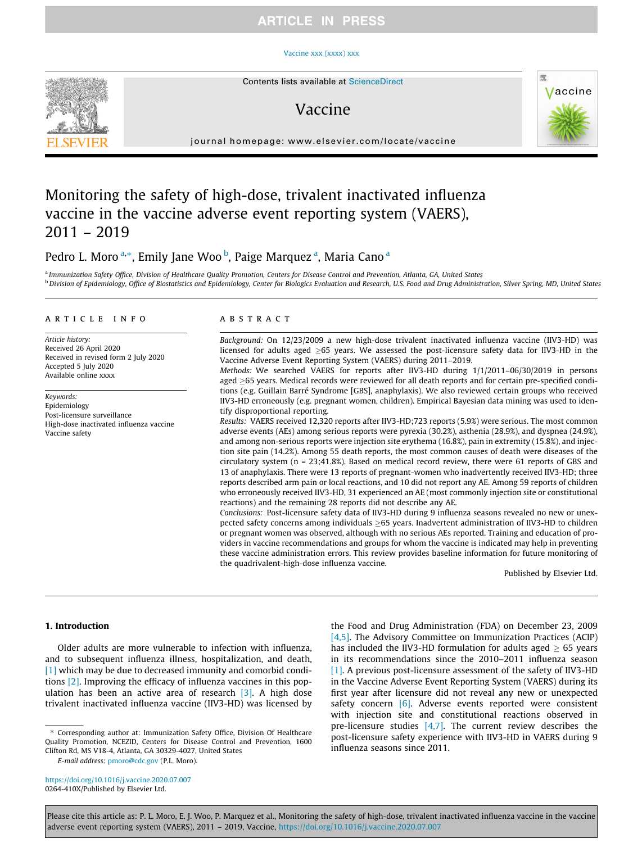## **ARTICLE IN PRESS**

#### [Vaccine xxx \(xxxx\) xxx](https://doi.org/10.1016/j.vaccine.2020.07.007)



# Vaccine



journal homepage: [www.elsevier.com/locate/vaccine](http://www.elsevier.com/locate/vaccine)

# Monitoring the safety of high-dose, trivalent inactivated influenza vaccine in the vaccine adverse event reporting system (VAERS), 2011 – 2019

## Pedro L. Moro <sup>a,\*</sup>, Emily Jane Woo <sup>b</sup>, Paige Marquez <sup>a</sup>, Maria Cano <sup>a</sup>

a Immunization Safety Office, Division of Healthcare Quality Promotion, Centers for Disease Control and Prevention, Atlanta, GA, United States <sup>b</sup> Division of Epidemiology, Office of Biostatistics and Epidemiology, Center for Biologics Evaluation and Research, U.S. Food and Drug Administration, Silver Spring, MD, United States

### article info

Article history: Received 26 April 2020 Received in revised form 2 July 2020 Accepted 5 July 2020 Available online xxxx

Keywords: Epidemiology Post-licensure surveillance High-dose inactivated influenza vaccine Vaccine safety

#### **ABSTRACT**

Background: On 12/23/2009 a new high-dose trivalent inactivated influenza vaccine (IIV3-HD) was licensed for adults aged  $>65$  years. We assessed the post-licensure safety data for IIV3-HD in the Vaccine Adverse Event Reporting System (VAERS) during 2011–2019.

Methods: We searched VAERS for reports after IIV3-HD during 1/1/2011–06/30/2019 in persons aged  $\geq$ 65 years. Medical records were reviewed for all death reports and for certain pre-specified conditions (e.g. Guillain Barré Syndrome [GBS], anaphylaxis). We also reviewed certain groups who received IIV3-HD erroneously (e.g. pregnant women, children). Empirical Bayesian data mining was used to identify disproportional reporting.

Results: VAERS received 12,320 reports after IIV3-HD;723 reports (5.9%) were serious. The most common adverse events (AEs) among serious reports were pyrexia (30.2%), asthenia (28.9%), and dyspnea (24.9%), and among non-serious reports were injection site erythema (16.8%), pain in extremity (15.8%), and injection site pain (14.2%). Among 55 death reports, the most common causes of death were diseases of the circulatory system (n = 23;41.8%). Based on medical record review, there were 61 reports of GBS and 13 of anaphylaxis. There were 13 reports of pregnant-women who inadvertently received IIV3-HD; three reports described arm pain or local reactions, and 10 did not report any AE. Among 59 reports of children who erroneously received IIV3-HD, 31 experienced an AE (most commonly injection site or constitutional reactions) and the remaining 28 reports did not describe any AE.

Conclusions: Post-licensure safety data of IIV3-HD during 9 influenza seasons revealed no new or unexpected safety concerns among individuals 65 years. Inadvertent administration of IIV3-HD to children or pregnant women was observed, although with no serious AEs reported. Training and education of providers in vaccine recommendations and groups for whom the vaccine is indicated may help in preventing these vaccine administration errors. This review provides baseline information for future monitoring of the quadrivalent-high-dose influenza vaccine.

Published by Elsevier Ltd.

#### 1. Introduction

Older adults are more vulnerable to infection with influenza, and to subsequent influenza illness, hospitalization, and death, [\[1\]](#page-3-0) which may be due to decreased immunity and comorbid conditions [\[2\].](#page-3-0) Improving the efficacy of influenza vaccines in this population has been an active area of research  $[3]$ . A high dose trivalent inactivated influenza vaccine (IIV3-HD) was licensed by

E-mail address: [pmoro@cdc.gov](mailto:pmoro@cdc.gov) (P.L. Moro).

<https://doi.org/10.1016/j.vaccine.2020.07.007> 0264-410X/Published by Elsevier Ltd.

the Food and Drug Administration (FDA) on December 23, 2009 [\[4,5\].](#page-3-0) The Advisory Committee on Immunization Practices (ACIP) has included the IIV3-HD formulation for adults aged  $> 65$  years in its recommendations since the 2010–2011 influenza season [\[1\]](#page-3-0). A previous post-licensure assessment of the safety of IIV3-HD in the Vaccine Adverse Event Reporting System (VAERS) during its first year after licensure did not reveal any new or unexpected safety concern [\[6\]](#page-3-0). Adverse events reported were consistent with injection site and constitutional reactions observed in pre-licensure studies  $[4,7]$ . The current review describes the post-licensure safety experience with IIV3-HD in VAERS during 9 influenza seasons since 2011.

<sup>⇑</sup> Corresponding author at: Immunization Safety Office, Division Of Healthcare Quality Promotion, NCEZID, Centers for Disease Control and Prevention, 1600 Clifton Rd, MS V18-4, Atlanta, GA 30329-4027, United States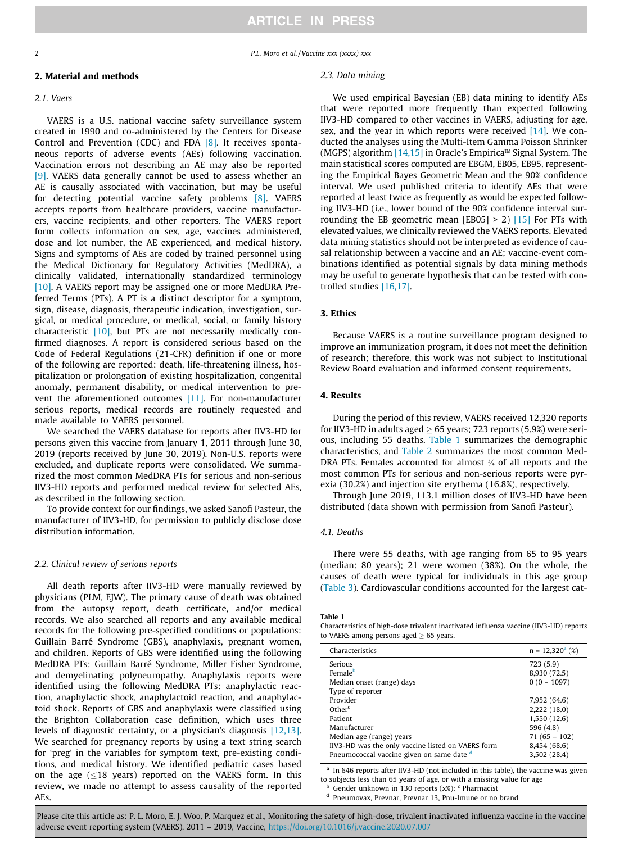2 P.L. Moro et al. / Vaccine xxx (xxxx) xxx

## 2. Material and methods

## 2.1. Vaers

VAERS is a U.S. national vaccine safety surveillance system created in 1990 and co-administered by the Centers for Disease Control and Prevention (CDC) and FDA [\[8\].](#page-3-0) It receives spontaneous reports of adverse events (AEs) following vaccination. Vaccination errors not describing an AE may also be reported [\[9\]](#page-3-0). VAERS data generally cannot be used to assess whether an AE is causally associated with vaccination, but may be useful for detecting potential vaccine safety problems [\[8\]](#page-3-0). VAERS accepts reports from healthcare providers, vaccine manufacturers, vaccine recipients, and other reporters. The VAERS report form collects information on sex, age, vaccines administered, dose and lot number, the AE experienced, and medical history. Signs and symptoms of AEs are coded by trained personnel using the Medical Dictionary for Regulatory Activities (MedDRA), a clinically validated, internationally standardized terminology [\[10\]](#page-3-0). A VAERS report may be assigned one or more MedDRA Preferred Terms (PTs). A PT is a distinct descriptor for a symptom, sign, disease, diagnosis, therapeutic indication, investigation, surgical, or medical procedure, or medical, social, or family history characteristic [\[10\],](#page-3-0) but PTs are not necessarily medically confirmed diagnoses. A report is considered serious based on the Code of Federal Regulations (21-CFR) definition if one or more of the following are reported: death, life-threatening illness, hospitalization or prolongation of existing hospitalization, congenital anomaly, permanent disability, or medical intervention to prevent the aforementioned outcomes [\[11\].](#page-3-0) For non-manufacturer serious reports, medical records are routinely requested and made available to VAERS personnel.

We searched the VAERS database for reports after IIV3-HD for persons given this vaccine from January 1, 2011 through June 30, 2019 (reports received by June 30, 2019). Non-U.S. reports were excluded, and duplicate reports were consolidated. We summarized the most common MedDRA PTs for serious and non-serious IIV3-HD reports and performed medical review for selected AEs, as described in the following section.

To provide context for our findings, we asked Sanofi Pasteur, the manufacturer of IIV3-HD, for permission to publicly disclose dose distribution information.

## 2.2. Clinical review of serious reports

All death reports after IIV3-HD were manually reviewed by physicians (PLM, EJW). The primary cause of death was obtained from the autopsy report, death certificate, and/or medical records. We also searched all reports and any available medical records for the following pre-specified conditions or populations: Guillain Barré Syndrome (GBS), anaphylaxis, pregnant women, and children. Reports of GBS were identified using the following MedDRA PTs: Guillain Barré Syndrome, Miller Fisher Syndrome, and demyelinating polyneuropathy. Anaphylaxis reports were identified using the following MedDRA PTs: anaphylactic reaction, anaphylactic shock, anaphylactoid reaction, and anaphylactoid shock. Reports of GBS and anaphylaxis were classified using the Brighton Collaboration case definition, which uses three levels of diagnostic certainty, or a physician's diagnosis [\[12,13\].](#page-3-0) We searched for pregnancy reports by using a text string search for 'preg' in the variables for symptom text, pre-existing conditions, and medical history. We identified pediatric cases based on the age  $(18 \text{ years})$  reported on the VAERS form. In this review, we made no attempt to assess causality of the reported AEs.

## 2.3. Data mining

We used empirical Bayesian (EB) data mining to identify AEs that were reported more frequently than expected following IIV3-HD compared to other vaccines in VAERS, adjusting for age, sex, and the year in which reports were received  $[14]$ . We conducted the analyses using the Multi-Item Gamma Poisson Shrinker (MGPS) algorithm  $[14,15]$  in Oracle's Empirica<sup> $M$ </sup> Signal System. The main statistical scores computed are EBGM, EB05, EB95, representing the Empirical Bayes Geometric Mean and the 90% confidence interval. We used published criteria to identify AEs that were reported at least twice as frequently as would be expected following IIV3-HD (i.e., lower bound of the 90% confidence interval surrounding the EB geometric mean  $[EB05] > 2$  [\[15\]](#page-3-0) For PTs with elevated values, we clinically reviewed the VAERS reports. Elevated data mining statistics should not be interpreted as evidence of causal relationship between a vaccine and an AE; vaccine-event combinations identified as potential signals by data mining methods may be useful to generate hypothesis that can be tested with controlled studies [\[16,17\].](#page-3-0)

## 3. Ethics

Because VAERS is a routine surveillance program designed to improve an immunization program, it does not meet the definition of research; therefore, this work was not subject to Institutional Review Board evaluation and informed consent requirements.

## 4. Results

During the period of this review, VAERS received 12,320 reports for IIV3-HD in adults aged  $\geq$  65 years; 723 reports (5.9%) were serious, including 55 deaths. Table 1 summarizes the demographic characteristics, and [Table 2](#page-2-0) summarizes the most common Med-DRA PTs. Females accounted for almost ¾ of all reports and the most common PTs for serious and non-serious reports were pyrexia (30.2%) and injection site erythema (16.8%), respectively.

Through June 2019, 113.1 million doses of IIV3-HD have been distributed (data shown with permission from Sanofi Pasteur).

## 4.1. Deaths

There were 55 deaths, with age ranging from 65 to 95 years (median: 80 years); 21 were women (38%). On the whole, the causes of death were typical for individuals in this age group ([Table 3\)](#page-2-0). Cardiovascular conditions accounted for the largest cat-

#### Table 1

Characteristics of high-dose trivalent inactivated influenza vaccine (IIV3-HD) reports to VAERS among persons aged  $\geq 65$  years.

| Characteristics                                   | $n = 12,320a$ (%) |
|---------------------------------------------------|-------------------|
| Serious                                           | 723 (5.9)         |
| Female <sup>b</sup>                               | 8,930 (72.5)      |
| Median onset (range) days                         | $0(0 - 1097)$     |
| Type of reporter                                  |                   |
| Provider                                          | 7,952 (64.6)      |
| Other <sup>c</sup>                                | 2,222(18.0)       |
| Patient                                           | 1,550 (12.6)      |
| Manufacturer                                      | 596 (4.8)         |
| Median age (range) years                          | $71(65 - 102)$    |
| IIV3-HD was the only vaccine listed on VAERS form | 8,454 (68.6)      |
| Pneumococcal vaccine given on same date d         | 3,502 (28.4)      |

<sup>a</sup> In 646 reports after IIV3-HD (not included in this table), the vaccine was given to subjects less than 65 years of age, or with a missing value for age

 $<sup>b</sup>$  Gender unknown in 130 reports (x%); <sup>c</sup> Pharmacist</sup>

<sup>d</sup> Pneumovax, Prevnar, Prevnar 13, Pnu-Imune or no brand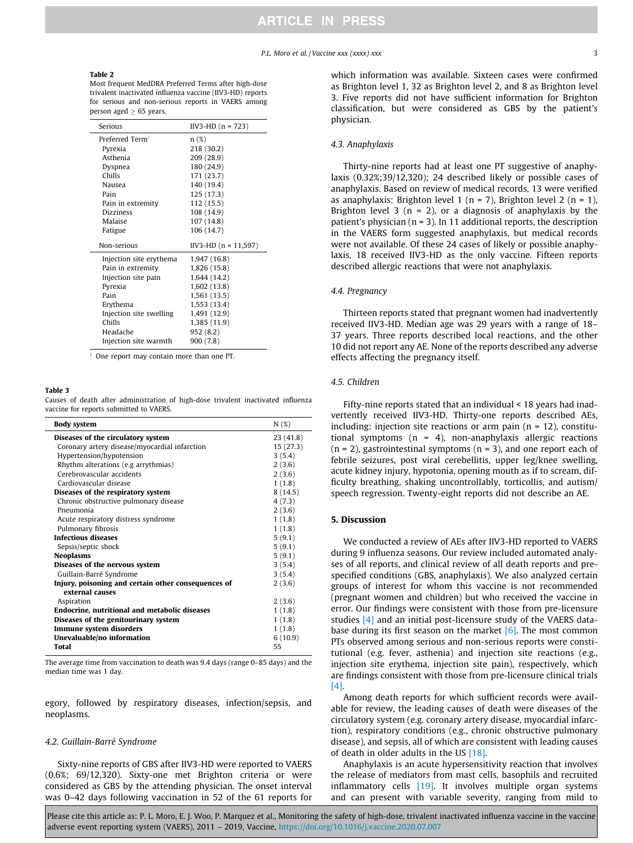## **ARTICLE IN PRESS**

#### P.L. Moro et al. / Vaccine xxx (xxxx) xxx 3

#### <span id="page-2-0"></span>Table 2

Most frequent MedDRA Preferred Terms after high-dose trivalent inactivated influenza vaccine (IIV3-HD) reports for serious and non-serious reports in VAERS among person aged  $\geq 65$  years.

| Serious                     | $IV3-HD (n = 723)$    |
|-----------------------------|-----------------------|
| Preferred Term <sup>†</sup> | n(%)                  |
| Pyrexia                     | 218 (30.2)            |
| Asthenia                    | 209 (28.9)            |
| Dyspnea                     | 180 (24.9)            |
| Chills                      | 171 (23.7)            |
| Nausea                      | 140 (19.4)            |
| Pain                        | 125 (17.3)            |
| Pain in extremity           | 112 (15.5)            |
| <b>Dizziness</b>            | 108 (14.9)            |
| Malaise                     | 107 (14.8)            |
| Fatigue                     | 106 (14.7)            |
| Non-serious                 | $IV3-HD (n = 11,597)$ |
| Injection site erythema     | 1,947 (16.8)          |
| Pain in extremity           | 1,826 (15.8)          |
| Injection site pain         | 1,644 (14.2)          |
| Pyrexia                     | 1,602 (13.8)          |
| Pain                        | 1,561 (13.5)          |
| Erythema                    | 1,553 (13.4)          |
| Injection site swelling     | 1,491 (12.9)          |
| Chills                      | 1,385 (11.9)          |
| Headache                    | 952 (8.2)             |
| Injection site warmth       | 900(7.8)              |

 $\dagger$  One report may contain more than one PT.

#### Table 3

Causes of death after administration of high-dose trivalent inactivated influenza vaccine for reports submitted to VAERS.

| <b>Body system</b>                                   | N(%)     |
|------------------------------------------------------|----------|
| Diseases of the circulatory system                   | 23(41.8) |
| Coronary artery disease/myocardial infarction        | 15(27.3) |
| Hypertension/hypotension                             | 3(5.4)   |
| Rhythm alterations (e.g arrythmias)                  | 2(3.6)   |
| Cerebrovascular accidents                            | 2(3.6)   |
| Cardiovascular disease                               | 1(1.8)   |
| Diseases of the respiratory system                   | 8(14.5)  |
| Chronic obstructive pulmonary disease                | 4(7.3)   |
| Pneumonia                                            | 2(3.6)   |
| Acute respiratory distress syndrome                  | 1(1.8)   |
| Pulmonary fibrosis                                   | 1(1.8)   |
| <b>Infectious diseases</b>                           | 5(9.1)   |
| Sepsis/septic shock                                  | 5(9.1)   |
| <b>Neoplasms</b>                                     | 5(9.1)   |
| Diseases of the nervous system                       | 3(5.4)   |
| Guillain-Barré Syndrome                              | 3(5.4)   |
| Injury, poisoning and certain other consequences of  | 2(3.6)   |
| external causes                                      |          |
| Aspiration                                           | 2(3.6)   |
| <b>Endocrine, nutritional and metabolic diseases</b> | 1(1.8)   |
| Diseases of the genitourinary system                 | 1(1.8)   |
| Immune system disorders                              | 1(1.8)   |
| Unevaluable/no information                           | 6(10.9)  |
| Total                                                | 55       |

The average time from vaccination to death was 9.4 days (range 0–85 days) and the median time was 1 day.

egory, followed by respiratory diseases, infection/sepsis, and neoplasms.

#### 4.2. Guillain-Barré Syndrome

Sixty-nine reports of GBS after IIV3-HD were reported to VAERS (0.6%; 69/12,320). Sixty-one met Brighton criteria or were considered as GBS by the attending physician. The onset interval was 0–42 days following vaccination in 52 of the 61 reports for which information was available. Sixteen cases were confirmed as Brighton level 1, 32 as Brighton level 2, and 8 as Brighton level 3. Five reports did not have sufficient information for Brighton classification, but were considered as GBS by the patient's physician.

## 4.3. Anaphylaxis

Thirty-nine reports had at least one PT suggestive of anaphylaxis (0.32%;39/12,320); 24 described likely or possible cases of anaphylaxis. Based on review of medical records, 13 were verified as anaphylaxis: Brighton level 1 (n = 7), Brighton level 2 (n = 1), Brighton level 3 ( $n = 2$ ), or a diagnosis of anaphylaxis by the patient's physician ( $n = 3$ ). In 11 additional reports, the description in the VAERS form suggested anaphylaxis, but medical records were not available. Of these 24 cases of likely or possible anaphylaxis, 18 received IIV3-HD as the only vaccine. Fifteen reports described allergic reactions that were not anaphylaxis.

## 4.4. Pregnancy

Thirteen reports stated that pregnant women had inadvertently received IIV3-HD. Median age was 29 years with a range of 18– 37 years. Three reports described local reactions, and the other 10 did not report any AE. None of the reports described any adverse effects affecting the pregnancy itself.

## 4.5. Children

Fifty-nine reports stated that an individual < 18 years had inadvertently received IIV3-HD. Thirty-one reports described AEs, including: injection site reactions or arm pain ( $n = 12$ ), constitutional symptoms  $(n = 4)$ , non-anaphylaxis allergic reactions  $(n = 2)$ , gastrointestinal symptoms  $(n = 3)$ , and one report each of febrile seizures, post viral cerebellitis, upper leg/knee swelling, acute kidney injury, hypotonia, opening mouth as if to scream, difficulty breathing, shaking uncontrollably, torticollis, and autism/ speech regression. Twenty-eight reports did not describe an AE.

## 5. Discussion

We conducted a review of AEs after IIV3-HD reported to VAERS during 9 influenza seasons. Our review included automated analyses of all reports, and clinical review of all death reports and prespecified conditions (GBS, anaphylaxis). We also analyzed certain groups of interest for whom this vaccine is not recommended (pregnant women and children) but who received the vaccine in error. Our findings were consistent with those from pre-licensure studies [\[4\]](#page-3-0) and an initial post-licensure study of the VAERS database during its first season on the market  $[6]$ . The most common PTs observed among serious and non-serious reports were constitutional (e.g. fever, asthenia) and injection site reactions (e.g., injection site erythema, injection site pain), respectively, which are findings consistent with those from pre-licensure clinical trials [\[4\]](#page-3-0).

Among death reports for which sufficient records were available for review, the leading causes of death were diseases of the circulatory system (e.g. coronary artery disease, myocardial infarction), respiratory conditions (e.g., chronic obstructive pulmonary disease), and sepsis, all of which are consistent with leading causes of death in older adults in the US [\[18\].](#page-3-0)

Anaphylaxis is an acute hypersensitivity reaction that involves the release of mediators from mast cells, basophils and recruited inflammatory cells [\[19\]](#page-3-0). It involves multiple organ systems and can present with variable severity, ranging from mild to